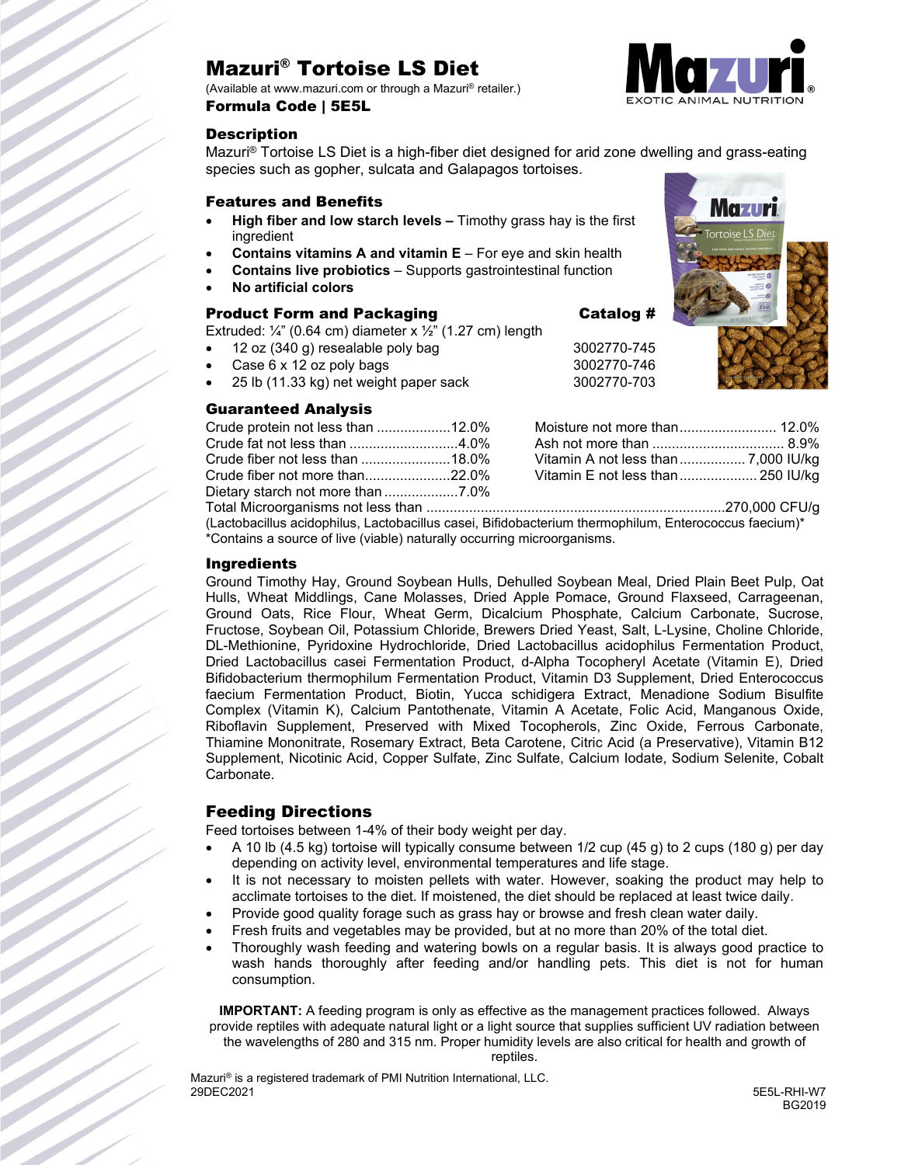# Mazuri® Tortoise LS Diet

(Available at www.mazuri.com or through a Mazuri® retailer.) Formula Code | 5E5L

#### **Description**

Mazuri® Tortoise LS Diet is a high-fiber diet designed for arid zone dwelling and grass-eating species such as gopher, sulcata and Galapagos tortoises.

#### Features and Benefits

- **High fiber and low starch levels –** Timothy grass hay is the first ingredient
- **Contains vitamins A and vitamin E** For eye and skin health
- **Contains live probiotics**  Supports gastrointestinal function
- **No artificial colors**

#### Product Form and Packaging The Catalog #

Extruded:  $\frac{1}{4}$ " (0.64 cm) diameter x  $\frac{1}{2}$ " (1.27 cm) length

- 12 oz (340 g) resealable poly bag 3002770-745
- Case 6 x 12 oz poly bags 3002770-746
- 25 lb (11.33 kg) net weight paper sack 3002770-703

#### Guaranteed Analysis

| <b>PURIMILLE ON AIRLYSIS</b>      |  |
|-----------------------------------|--|
| Crude protein not less than 12.0% |  |
|                                   |  |
|                                   |  |
|                                   |  |

Dietary starch not more than ...................7.0%

Moisture not more than......................... 12.0% Ash not more than .................................. 8.9% Vitamin A not less than................. 7,000 IU/kg Vitamin E not less than.................... 250 IU/kg

Total Microorganisms not less than .............................................................................270,000 CFU/g (Lactobacillus acidophilus, Lactobacillus casei, Bifidobacterium thermophilum, Enterococcus faecium)\* \*Contains a source of live (viable) naturally occurring microorganisms.

#### Ingredients

Ground Timothy Hay, Ground Soybean Hulls, Dehulled Soybean Meal, Dried Plain Beet Pulp, Oat Hulls, Wheat Middlings, Cane Molasses, Dried Apple Pomace, Ground Flaxseed, Carrageenan, Ground Oats, Rice Flour, Wheat Germ, Dicalcium Phosphate, Calcium Carbonate, Sucrose, Fructose, Soybean Oil, Potassium Chloride, Brewers Dried Yeast, Salt, L-Lysine, Choline Chloride, DL-Methionine, Pyridoxine Hydrochloride, Dried Lactobacillus acidophilus Fermentation Product, Dried Lactobacillus casei Fermentation Product, d-Alpha Tocopheryl Acetate (Vitamin E), Dried Bifidobacterium thermophilum Fermentation Product, Vitamin D3 Supplement, Dried Enterococcus faecium Fermentation Product, Biotin, Yucca schidigera Extract, Menadione Sodium Bisulfite Complex (Vitamin K), Calcium Pantothenate, Vitamin A Acetate, Folic Acid, Manganous Oxide, Riboflavin Supplement, Preserved with Mixed Tocopherols, Zinc Oxide, Ferrous Carbonate, Thiamine Mononitrate, Rosemary Extract, Beta Carotene, Citric Acid (a Preservative), Vitamin B12 Supplement, Nicotinic Acid, Copper Sulfate, Zinc Sulfate, Calcium Iodate, Sodium Selenite, Cobalt Carbonate.

#### Feeding Directions

Feed tortoises between 1-4% of their body weight per day.

- A 10 lb  $(4.5 \text{ kg})$  tortoise will typically consume between  $1/2$  cup  $(45 \text{ g})$  to 2 cups  $(180 \text{ g})$  per day depending on activity level, environmental temperatures and life stage.
- It is not necessary to moisten pellets with water. However, soaking the product may help to acclimate tortoises to the diet. If moistened, the diet should be replaced at least twice daily.
- Provide good quality forage such as grass hay or browse and fresh clean water daily.
- Fresh fruits and vegetables may be provided, but at no more than 20% of the total diet.
- Thoroughly wash feeding and watering bowls on a regular basis. It is always good practice to wash hands thoroughly after feeding and/or handling pets. This diet is not for human consumption.

**IMPORTANT:** A feeding program is only as effective as the management practices followed. Always provide reptiles with adequate natural light or a light source that supplies sufficient UV radiation between the wavelengths of 280 and 315 nm. Proper humidity levels are also critical for health and growth of

Mazuri<sup>®</sup> is a registered trademark of PMI Nutrition International, LLC.<br>29DEC2021 29DEC2021 5E5L-RHI-W7